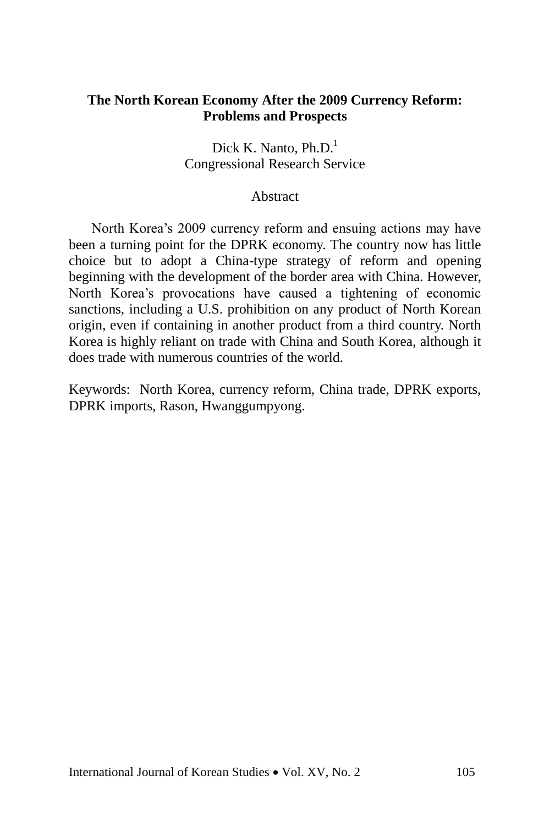## **The North Korean Economy After the 2009 Currency Reform: Problems and Prospects**

Dick K. Nanto,  $Ph.D.<sup>1</sup>$ Congressional Research Service

## **Abstract**

North Korea's 2009 currency reform and ensuing actions may have been a turning point for the DPRK economy. The country now has little choice but to adopt a China-type strategy of reform and opening beginning with the development of the border area with China. However, North Korea's provocations have caused a tightening of economic sanctions, including a U.S. prohibition on any product of North Korean origin, even if containing in another product from a third country. North Korea is highly reliant on trade with China and South Korea, although it does trade with numerous countries of the world.

Keywords: North Korea, currency reform, China trade, DPRK exports, DPRK imports, Rason, Hwanggumpyong.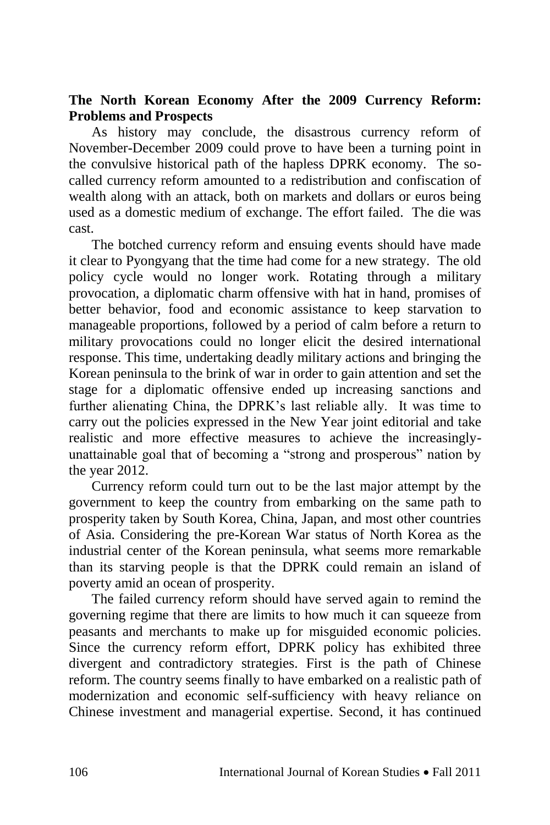# **The North Korean Economy After the 2009 Currency Reform: Problems and Prospects**

As history may conclude, the disastrous currency reform of November-December 2009 could prove to have been a turning point in the convulsive historical path of the hapless DPRK economy. The socalled currency reform amounted to a redistribution and confiscation of wealth along with an attack, both on markets and dollars or euros being used as a domestic medium of exchange. The effort failed. The die was cast.

The botched currency reform and ensuing events should have made it clear to Pyongyang that the time had come for a new strategy. The old policy cycle would no longer work. Rotating through a military provocation, a diplomatic charm offensive with hat in hand, promises of better behavior, food and economic assistance to keep starvation to manageable proportions, followed by a period of calm before a return to military provocations could no longer elicit the desired international response. This time, undertaking deadly military actions and bringing the Korean peninsula to the brink of war in order to gain attention and set the stage for a diplomatic offensive ended up increasing sanctions and further alienating China, the DPRK's last reliable ally. It was time to carry out the policies expressed in the New Year joint editorial and take realistic and more effective measures to achieve the increasinglyunattainable goal that of becoming a "strong and prosperous" nation by the year 2012.

Currency reform could turn out to be the last major attempt by the government to keep the country from embarking on the same path to prosperity taken by South Korea, China, Japan, and most other countries of Asia. Considering the pre-Korean War status of North Korea as the industrial center of the Korean peninsula, what seems more remarkable than its starving people is that the DPRK could remain an island of poverty amid an ocean of prosperity.

The failed currency reform should have served again to remind the governing regime that there are limits to how much it can squeeze from peasants and merchants to make up for misguided economic policies. Since the currency reform effort, DPRK policy has exhibited three divergent and contradictory strategies. First is the path of Chinese reform. The country seems finally to have embarked on a realistic path of modernization and economic self-sufficiency with heavy reliance on Chinese investment and managerial expertise. Second, it has continued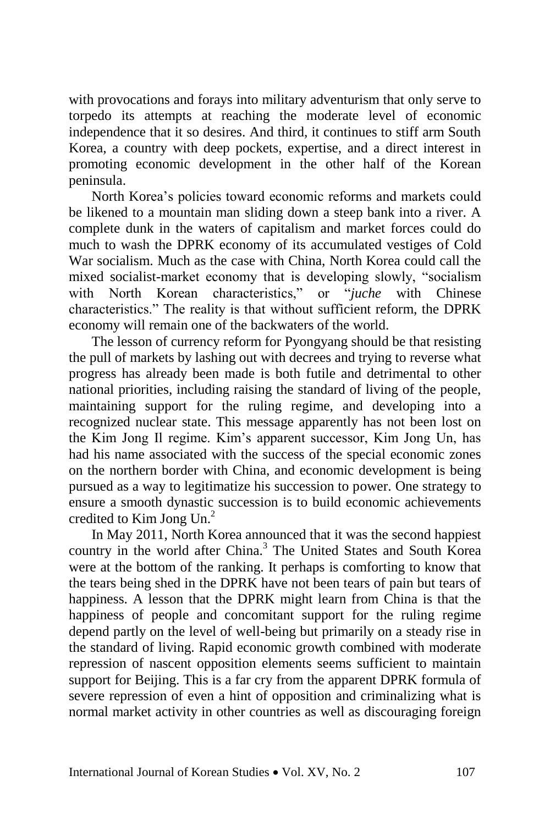with provocations and forays into military adventurism that only serve to torpedo its attempts at reaching the moderate level of economic independence that it so desires. And third, it continues to stiff arm South Korea, a country with deep pockets, expertise, and a direct interest in promoting economic development in the other half of the Korean peninsula.

North Korea's policies toward economic reforms and markets could be likened to a mountain man sliding down a steep bank into a river. A complete dunk in the waters of capitalism and market forces could do much to wash the DPRK economy of its accumulated vestiges of Cold War socialism. Much as the case with China, North Korea could call the mixed socialist-market economy that is developing slowly, "socialism with North Korean characteristics," or "*juche* with Chinese characteristics." The reality is that without sufficient reform, the DPRK economy will remain one of the backwaters of the world.

The lesson of currency reform for Pyongyang should be that resisting the pull of markets by lashing out with decrees and trying to reverse what progress has already been made is both futile and detrimental to other national priorities, including raising the standard of living of the people, maintaining support for the ruling regime, and developing into a recognized nuclear state. This message apparently has not been lost on the Kim Jong Il regime. Kim's apparent successor, Kim Jong Un, has had his name associated with the success of the special economic zones on the northern border with China, and economic development is being pursued as a way to legitimatize his succession to power. One strategy to ensure a smooth dynastic succession is to build economic achievements credited to Kim Jong  $Un<sup>2</sup>$ 

In May 2011, North Korea announced that it was the second happiest country in the world after China.<sup>3</sup> The United States and South Korea were at the bottom of the ranking. It perhaps is comforting to know that the tears being shed in the DPRK have not been tears of pain but tears of happiness. A lesson that the DPRK might learn from China is that the happiness of people and concomitant support for the ruling regime depend partly on the level of well-being but primarily on a steady rise in the standard of living. Rapid economic growth combined with moderate repression of nascent opposition elements seems sufficient to maintain support for Beijing. This is a far cry from the apparent DPRK formula of severe repression of even a hint of opposition and criminalizing what is normal market activity in other countries as well as discouraging foreign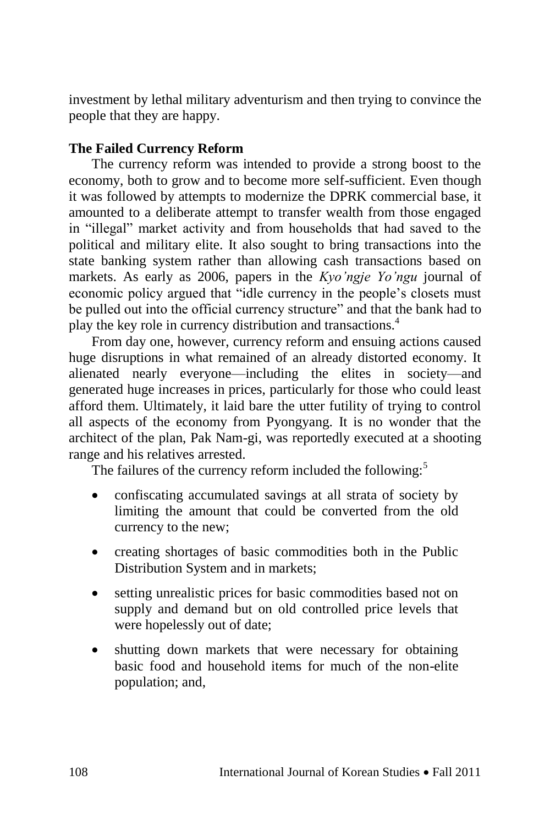investment by lethal military adventurism and then trying to convince the people that they are happy.

# **The Failed Currency Reform**

The currency reform was intended to provide a strong boost to the economy, both to grow and to become more self-sufficient. Even though it was followed by attempts to modernize the DPRK commercial base, it amounted to a deliberate attempt to transfer wealth from those engaged in "illegal" market activity and from households that had saved to the political and military elite. It also sought to bring transactions into the state banking system rather than allowing cash transactions based on markets. As early as 2006, papers in the *Kyo'ngje Yo'ngu* journal of economic policy argued that "idle currency in the people's closets must be pulled out into the official currency structure" and that the bank had to play the key role in currency distribution and transactions.<sup>4</sup>

From day one, however, currency reform and ensuing actions caused huge disruptions in what remained of an already distorted economy. It alienated nearly everyone—including the elites in society—and generated huge increases in prices, particularly for those who could least afford them. Ultimately, it laid bare the utter futility of trying to control all aspects of the economy from Pyongyang. It is no wonder that the architect of the plan, Pak Nam-gi, was reportedly executed at a shooting range and his relatives arrested.

The failures of the currency reform included the following:<sup>5</sup>

- confiscating accumulated savings at all strata of society by limiting the amount that could be converted from the old currency to the new;
- creating shortages of basic commodities both in the Public Distribution System and in markets;
- setting unrealistic prices for basic commodities based not on supply and demand but on old controlled price levels that were hopelessly out of date;
- shutting down markets that were necessary for obtaining basic food and household items for much of the non-elite population; and,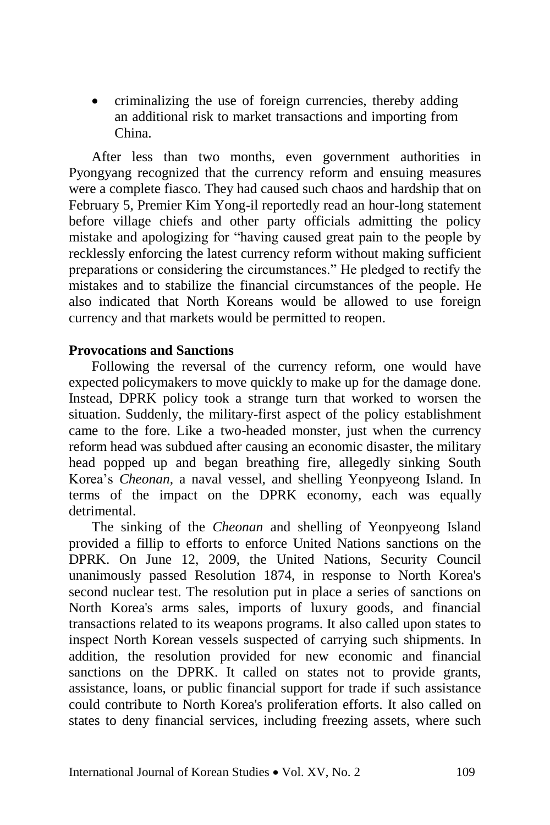• criminalizing the use of foreign currencies, thereby adding an additional risk to market transactions and importing from China.

After less than two months, even government authorities in Pyongyang recognized that the currency reform and ensuing measures were a complete fiasco. They had caused such chaos and hardship that on February 5, Premier Kim Yong-il reportedly read an hour-long statement before village chiefs and other party officials admitting the policy mistake and apologizing for "having caused great pain to the people by recklessly enforcing the latest currency reform without making sufficient preparations or considering the circumstances." He pledged to rectify the mistakes and to stabilize the financial circumstances of the people. He also indicated that North Koreans would be allowed to use foreign currency and that markets would be permitted to reopen.

### **Provocations and Sanctions**

Following the reversal of the currency reform, one would have expected policymakers to move quickly to make up for the damage done. Instead, DPRK policy took a strange turn that worked to worsen the situation. Suddenly, the military-first aspect of the policy establishment came to the fore. Like a two-headed monster, just when the currency reform head was subdued after causing an economic disaster, the military head popped up and began breathing fire, allegedly sinking South Korea's *Cheonan*, a naval vessel, and shelling Yeonpyeong Island. In terms of the impact on the DPRK economy, each was equally detrimental.

The sinking of the *Cheonan* and shelling of Yeonpyeong Island provided a fillip to efforts to enforce United Nations sanctions on the DPRK. On June 12, 2009, the United Nations, Security Council unanimously passed Resolution 1874, in response to North Korea's second nuclear test. The resolution put in place a series of sanctions on North Korea's arms sales, imports of luxury goods, and financial transactions related to its weapons programs. It also called upon states to inspect North Korean vessels suspected of carrying such shipments. In addition, the resolution provided for new economic and financial sanctions on the DPRK. It called on states not to provide grants, assistance, loans, or public financial support for trade if such assistance could contribute to North Korea's proliferation efforts. It also called on states to deny financial services, including freezing assets, where such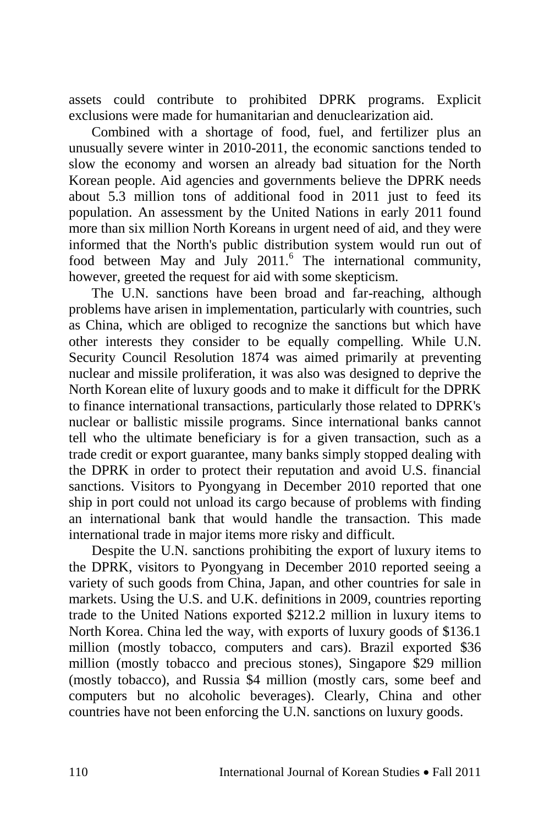assets could contribute to prohibited DPRK programs. Explicit exclusions were made for humanitarian and denuclearization aid.

Combined with a shortage of food, fuel, and fertilizer plus an unusually severe winter in 2010-2011, the economic sanctions tended to slow the economy and worsen an already bad situation for the North Korean people. Aid agencies and governments believe the DPRK needs about 5.3 million tons of additional food in 2011 just to feed its population. An assessment by the United Nations in early 2011 found more than six million North Koreans in urgent need of aid, and they were informed that the North's public distribution system would run out of food between May and July 2011.<sup>6</sup> The international community, however, greeted the request for aid with some skepticism.

The U.N. sanctions have been broad and far-reaching, although problems have arisen in implementation, particularly with countries, such as China, which are obliged to recognize the sanctions but which have other interests they consider to be equally compelling. While U.N. Security Council Resolution 1874 was aimed primarily at preventing nuclear and missile proliferation, it was also was designed to deprive the North Korean elite of luxury goods and to make it difficult for the DPRK to finance international transactions, particularly those related to DPRK's nuclear or ballistic missile programs. Since international banks cannot tell who the ultimate beneficiary is for a given transaction, such as a trade credit or export guarantee, many banks simply stopped dealing with the DPRK in order to protect their reputation and avoid U.S. financial sanctions. Visitors to Pyongyang in December 2010 reported that one ship in port could not unload its cargo because of problems with finding an international bank that would handle the transaction. This made international trade in major items more risky and difficult.

Despite the U.N. sanctions prohibiting the export of luxury items to the DPRK, visitors to Pyongyang in December 2010 reported seeing a variety of such goods from China, Japan, and other countries for sale in markets. Using the U.S. and U.K. definitions in 2009, countries reporting trade to the United Nations exported \$212.2 million in luxury items to North Korea. China led the way, with exports of luxury goods of \$136.1 million (mostly tobacco, computers and cars). Brazil exported \$36 million (mostly tobacco and precious stones), Singapore \$29 million (mostly tobacco), and Russia \$4 million (mostly cars, some beef and computers but no alcoholic beverages). Clearly, China and other countries have not been enforcing the U.N. sanctions on luxury goods.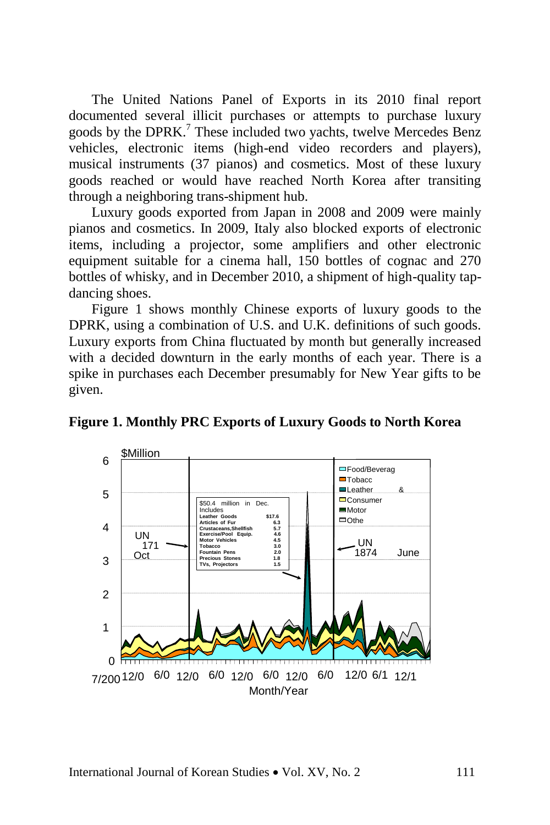The United Nations Panel of Exports in its 2010 final report documented several illicit purchases or attempts to purchase luxury goods by the DPRK.<sup>7</sup> These included two yachts, twelve Mercedes Benz vehicles, electronic items (high-end video recorders and players), musical instruments (37 pianos) and cosmetics. Most of these luxury goods reached or would have reached North Korea after transiting through a neighboring trans-shipment hub.

Luxury goods exported from Japan in 2008 and 2009 were mainly pianos and cosmetics. In 2009, Italy also blocked exports of electronic items, including a projector, some amplifiers and other electronic equipment suitable for a cinema hall, 150 bottles of cognac and 270 bottles of whisky, and in December 2010, a shipment of high-quality tapdancing shoes.

Figure 1 shows monthly Chinese exports of luxury goods to the DPRK, using a combination of U.S. and U.K. definitions of such goods. Luxury exports from China fluctuated by month but generally increased with a decided downturn in the early months of each year. There is a spike in purchases each December presumably for New Year gifts to be given.



**Figure 1. Monthly PRC Exports of Luxury Goods to North Korea**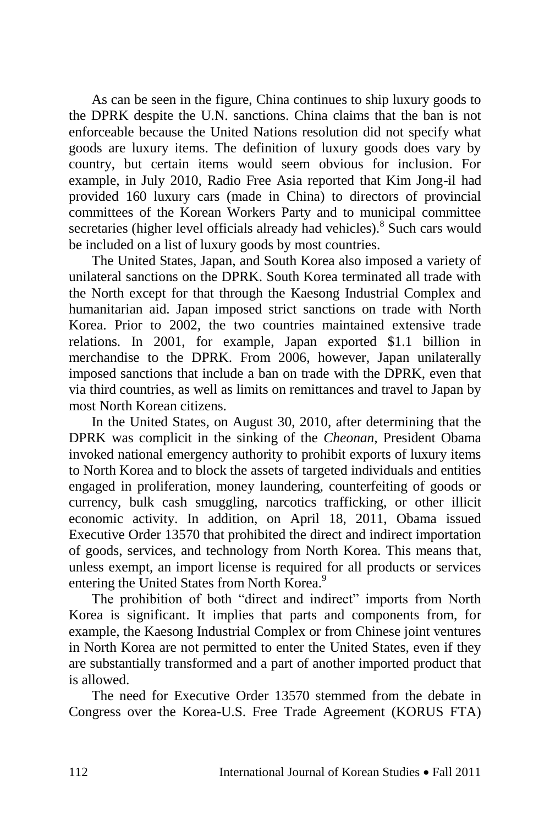As can be seen in the figure, China continues to ship luxury goods to the DPRK despite the U.N. sanctions. China claims that the ban is not enforceable because the United Nations resolution did not specify what goods are luxury items. The definition of luxury goods does vary by country, but certain items would seem obvious for inclusion. For example, in July 2010, Radio Free Asia reported that Kim Jong-il had provided 160 luxury cars (made in China) to directors of provincial committees of the Korean Workers Party and to municipal committee secretaries (higher level officials already had vehicles).<sup>8</sup> Such cars would be included on a list of luxury goods by most countries.

The United States, Japan, and South Korea also imposed a variety of unilateral sanctions on the DPRK. South Korea terminated all trade with the North except for that through the Kaesong Industrial Complex and humanitarian aid. Japan imposed strict sanctions on trade with North Korea. Prior to 2002, the two countries maintained extensive trade relations. In 2001, for example, Japan exported \$1.1 billion in merchandise to the DPRK. From 2006, however, Japan unilaterally imposed sanctions that include a ban on trade with the DPRK, even that via third countries, as well as limits on remittances and travel to Japan by most North Korean citizens.

In the United States, on August 30, 2010, after determining that the DPRK was complicit in the sinking of the *Cheonan*, President Obama invoked national emergency authority to prohibit exports of luxury items to North Korea and to block the assets of targeted individuals and entities engaged in proliferation, money laundering, counterfeiting of goods or currency, bulk cash smuggling, narcotics trafficking, or other illicit economic activity. In addition, on April 18, 2011, Obama issued Executive Order 13570 that prohibited the direct and indirect importation of goods, services, and technology from North Korea. This means that, unless exempt, an import license is required for all products or services entering the United States from North Korea.<sup>9</sup>

The prohibition of both "direct and indirect" imports from North Korea is significant. It implies that parts and components from, for example, the Kaesong Industrial Complex or from Chinese joint ventures in North Korea are not permitted to enter the United States, even if they are substantially transformed and a part of another imported product that is allowed.

The need for Executive Order 13570 stemmed from the debate in Congress over the Korea-U.S. Free Trade Agreement (KORUS FTA)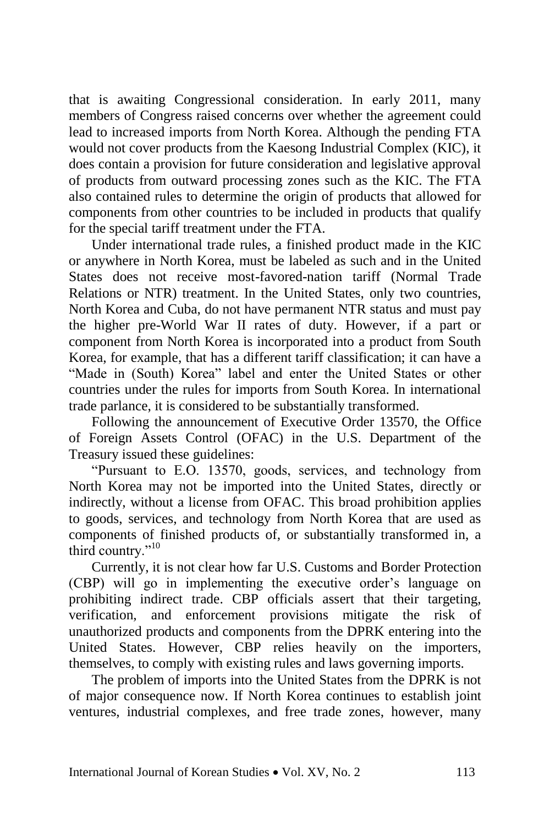that is awaiting Congressional consideration. In early 2011, many members of Congress raised concerns over whether the agreement could lead to increased imports from North Korea. Although the pending FTA would not cover products from the Kaesong Industrial Complex (KIC), it does contain a provision for future consideration and legislative approval of products from outward processing zones such as the KIC. The FTA also contained rules to determine the origin of products that allowed for components from other countries to be included in products that qualify for the special tariff treatment under the FTA.

Under international trade rules, a finished product made in the KIC or anywhere in North Korea, must be labeled as such and in the United States does not receive most-favored-nation tariff (Normal Trade Relations or NTR) treatment. In the United States, only two countries, North Korea and Cuba, do not have permanent NTR status and must pay the higher pre-World War II rates of duty. However, if a part or component from North Korea is incorporated into a product from South Korea, for example, that has a different tariff classification; it can have a "Made in (South) Korea" label and enter the United States or other countries under the rules for imports from South Korea. In international trade parlance, it is considered to be substantially transformed.

Following the announcement of Executive Order 13570, the Office of Foreign Assets Control (OFAC) in the U.S. Department of the Treasury issued these guidelines:

"Pursuant to E.O. 13570, goods, services, and technology from North Korea may not be imported into the United States, directly or indirectly, without a license from OFAC. This broad prohibition applies to goods, services, and technology from North Korea that are used as components of finished products of, or substantially transformed in, a third country."<sup>10</sup>

Currently, it is not clear how far U.S. Customs and Border Protection (CBP) will go in implementing the executive order's language on prohibiting indirect trade. CBP officials assert that their targeting, verification, and enforcement provisions mitigate the risk of unauthorized products and components from the DPRK entering into the United States. However, CBP relies heavily on the importers, themselves, to comply with existing rules and laws governing imports.

The problem of imports into the United States from the DPRK is not of major consequence now. If North Korea continues to establish joint ventures, industrial complexes, and free trade zones, however, many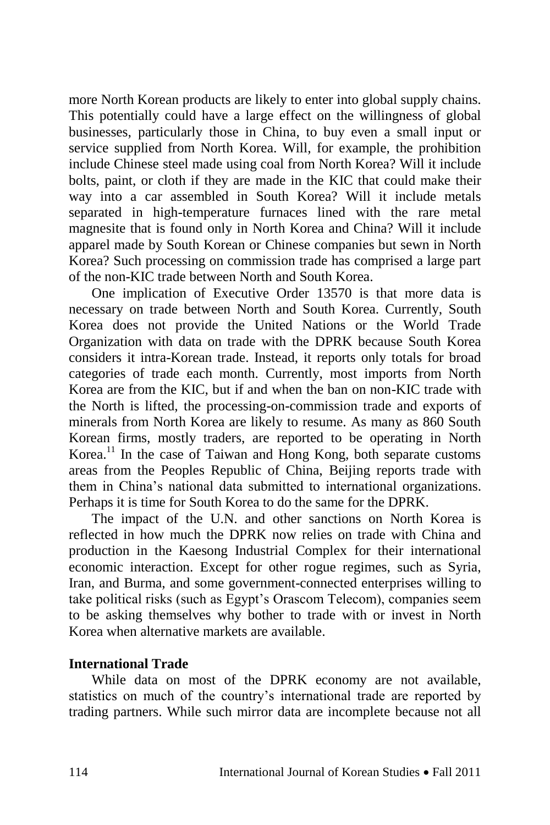more North Korean products are likely to enter into global supply chains. This potentially could have a large effect on the willingness of global businesses, particularly those in China, to buy even a small input or service supplied from North Korea. Will, for example, the prohibition include Chinese steel made using coal from North Korea? Will it include bolts, paint, or cloth if they are made in the KIC that could make their way into a car assembled in South Korea? Will it include metals separated in high-temperature furnaces lined with the rare metal magnesite that is found only in North Korea and China? Will it include apparel made by South Korean or Chinese companies but sewn in North Korea? Such processing on commission trade has comprised a large part of the non-KIC trade between North and South Korea.

One implication of Executive Order 13570 is that more data is necessary on trade between North and South Korea. Currently, South Korea does not provide the United Nations or the World Trade Organization with data on trade with the DPRK because South Korea considers it intra-Korean trade. Instead, it reports only totals for broad categories of trade each month. Currently, most imports from North Korea are from the KIC, but if and when the ban on non-KIC trade with the North is lifted, the processing-on-commission trade and exports of minerals from North Korea are likely to resume. As many as 860 South Korean firms, mostly traders, are reported to be operating in North Korea.<sup>11</sup> In the case of Taiwan and Hong Kong, both separate customs areas from the Peoples Republic of China, Beijing reports trade with them in China's national data submitted to international organizations. Perhaps it is time for South Korea to do the same for the DPRK.

The impact of the U.N. and other sanctions on North Korea is reflected in how much the DPRK now relies on trade with China and production in the Kaesong Industrial Complex for their international economic interaction. Except for other rogue regimes, such as Syria, Iran, and Burma, and some government-connected enterprises willing to take political risks (such as Egypt's Orascom Telecom), companies seem to be asking themselves why bother to trade with or invest in North Korea when alternative markets are available.

## **International Trade**

While data on most of the DPRK economy are not available, statistics on much of the country's international trade are reported by trading partners. While such mirror data are incomplete because not all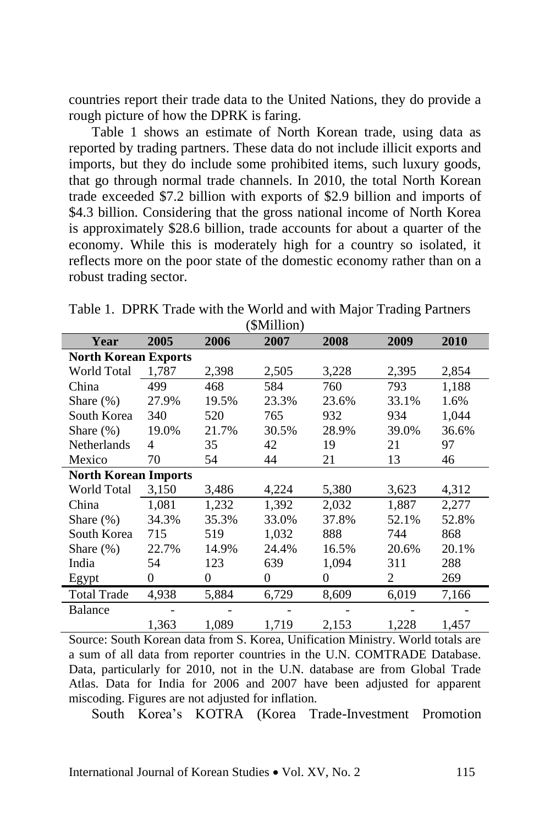countries report their trade data to the United Nations, they do provide a rough picture of how the DPRK is faring.

Table 1 shows an estimate of North Korean trade, using data as reported by trading partners. These data do not include illicit exports and imports, but they do include some prohibited items, such luxury goods, that go through normal trade channels. In 2010, the total North Korean trade exceeded \$7.2 billion with exports of \$2.9 billion and imports of \$4.3 billion. Considering that the gross national income of North Korea is approximately \$28.6 billion, trade accounts for about a quarter of the economy. While this is moderately high for a country so isolated, it reflects more on the poor state of the domestic economy rather than on a robust trading sector.

| $(\psi$ - $\psi$ - $\psi$ - $\psi$ - $\psi$ - $\psi$ |          |       |       |       |       |  |  |  |
|------------------------------------------------------|----------|-------|-------|-------|-------|--|--|--|
| 2005                                                 | 2006     | 2007  | 2008  | 2009  | 2010  |  |  |  |
| <b>North Korean Exports</b>                          |          |       |       |       |       |  |  |  |
| 1,787                                                | 2,398    | 2,505 | 3,228 | 2,395 | 2,854 |  |  |  |
| 499                                                  | 468      | 584   | 760   | 793   | 1,188 |  |  |  |
| 27.9%                                                | 19.5%    | 23.3% | 23.6% | 33.1% | 1.6%  |  |  |  |
| 340                                                  | 520      | 765   | 932   | 934   | 1,044 |  |  |  |
| 19.0%                                                | 21.7%    | 30.5% | 28.9% | 39.0% | 36.6% |  |  |  |
| 4                                                    | 35       | 42    | 19    | 21    | 97    |  |  |  |
| 70                                                   | 54       | 44    | 21    | 13    | 46    |  |  |  |
| <b>North Korean Imports</b>                          |          |       |       |       |       |  |  |  |
| 3,150                                                | 3,486    | 4,224 | 5,380 | 3,623 | 4,312 |  |  |  |
| 1,081                                                | 1,232    | 1,392 | 2,032 | 1,887 | 2,277 |  |  |  |
| 34.3%                                                | 35.3%    | 33.0% | 37.8% | 52.1% | 52.8% |  |  |  |
| 715                                                  | 519      | 1,032 | 888   | 744   | 868   |  |  |  |
| 22.7%                                                | 14.9%    | 24.4% | 16.5% | 20.6% | 20.1% |  |  |  |
| 54                                                   | 123      | 639   | 1,094 | 311   | 288   |  |  |  |
| $\Omega$                                             | $\Omega$ | 0     | 0     | 2     | 269   |  |  |  |
| 4,938                                                | 5,884    | 6,729 | 8,609 | 6,019 | 7,166 |  |  |  |
|                                                      |          |       |       |       |       |  |  |  |
| 1,363                                                | 1,089    | 1,719 | 2,153 | 1,228 | 1,457 |  |  |  |
|                                                      |          |       |       |       |       |  |  |  |

Table 1. DPRK Trade with the World and with Major Trading Partners  $(\text{Million})$ 

Source: South Korean data from S. Korea, Unification Ministry. World totals are a sum of all data from reporter countries in the U.N. COMTRADE Database. Data, particularly for 2010, not in the U.N. database are from Global Trade Atlas. Data for India for 2006 and 2007 have been adjusted for apparent miscoding. Figures are not adjusted for inflation.

South Korea's KOTRA (Korea Trade-Investment Promotion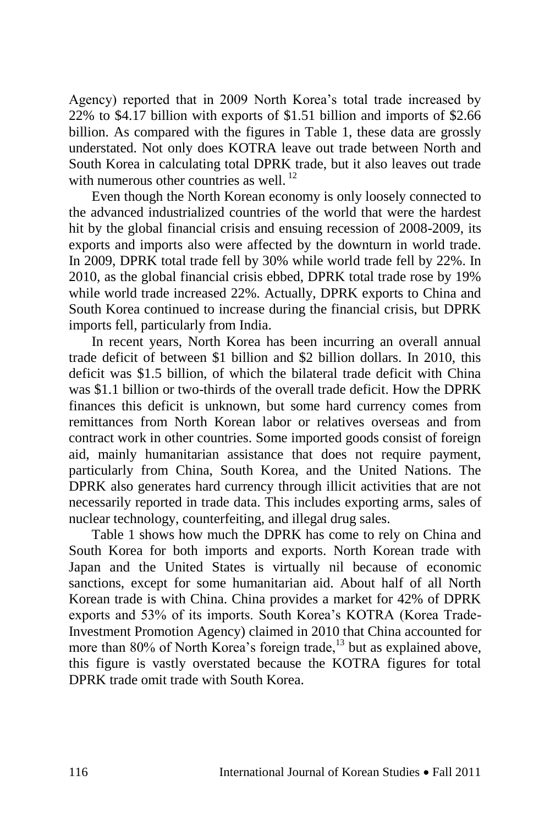Agency) reported that in 2009 North Korea's total trade increased by 22% to \$4.17 billion with exports of \$1.51 billion and imports of \$2.66 billion. As compared with the figures in Table 1, these data are grossly understated. Not only does KOTRA leave out trade between North and South Korea in calculating total DPRK trade, but it also leaves out trade with numerous other countries as well.<sup>12</sup>

Even though the North Korean economy is only loosely connected to the advanced industrialized countries of the world that were the hardest hit by the global financial crisis and ensuing recession of 2008-2009, its exports and imports also were affected by the downturn in world trade. In 2009, DPRK total trade fell by 30% while world trade fell by 22%. In 2010, as the global financial crisis ebbed, DPRK total trade rose by 19% while world trade increased 22%. Actually, DPRK exports to China and South Korea continued to increase during the financial crisis, but DPRK imports fell, particularly from India.

In recent years, North Korea has been incurring an overall annual trade deficit of between \$1 billion and \$2 billion dollars. In 2010, this deficit was \$1.5 billion, of which the bilateral trade deficit with China was \$1.1 billion or two-thirds of the overall trade deficit. How the DPRK finances this deficit is unknown, but some hard currency comes from remittances from North Korean labor or relatives overseas and from contract work in other countries. Some imported goods consist of foreign aid, mainly humanitarian assistance that does not require payment, particularly from China, South Korea, and the United Nations. The DPRK also generates hard currency through illicit activities that are not necessarily reported in trade data. This includes exporting arms, sales of nuclear technology, counterfeiting, and illegal drug sales.

Table 1 shows how much the DPRK has come to rely on China and South Korea for both imports and exports. North Korean trade with Japan and the United States is virtually nil because of economic sanctions, except for some humanitarian aid. About half of all North Korean trade is with China. China provides a market for 42% of DPRK exports and 53% of its imports. South Korea's KOTRA (Korea Trade-Investment Promotion Agency) claimed in 2010 that China accounted for more than 80% of North Korea's foreign trade,<sup>13</sup> but as explained above, this figure is vastly overstated because the KOTRA figures for total DPRK trade omit trade with South Korea.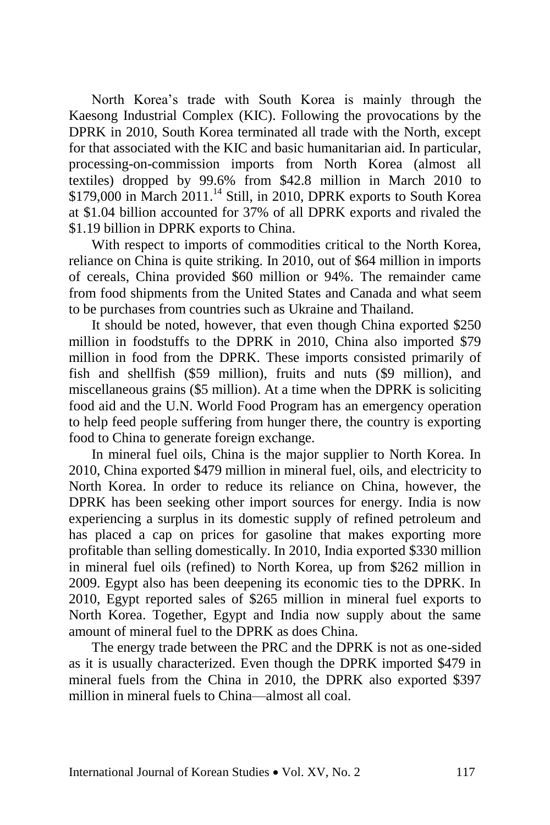North Korea's trade with South Korea is mainly through the Kaesong Industrial Complex (KIC). Following the provocations by the DPRK in 2010, South Korea terminated all trade with the North, except for that associated with the KIC and basic humanitarian aid. In particular, processing-on-commission imports from North Korea (almost all textiles) dropped by 99.6% from \$42.8 million in March 2010 to  $$179,000$  in March 2011.<sup>14</sup> Still, in 2010, DPRK exports to South Korea at \$1.04 billion accounted for 37% of all DPRK exports and rivaled the \$1.19 billion in DPRK exports to China.

With respect to imports of commodities critical to the North Korea, reliance on China is quite striking. In 2010, out of \$64 million in imports of cereals, China provided \$60 million or 94%. The remainder came from food shipments from the United States and Canada and what seem to be purchases from countries such as Ukraine and Thailand.

It should be noted, however, that even though China exported \$250 million in foodstuffs to the DPRK in 2010, China also imported \$79 million in food from the DPRK. These imports consisted primarily of fish and shellfish (\$59 million), fruits and nuts (\$9 million), and miscellaneous grains (\$5 million). At a time when the DPRK is soliciting food aid and the U.N. World Food Program has an emergency operation to help feed people suffering from hunger there, the country is exporting food to China to generate foreign exchange.

In mineral fuel oils, China is the major supplier to North Korea. In 2010, China exported \$479 million in mineral fuel, oils, and electricity to North Korea. In order to reduce its reliance on China, however, the DPRK has been seeking other import sources for energy. India is now experiencing a surplus in its domestic supply of refined petroleum and has placed a cap on prices for gasoline that makes exporting more profitable than selling domestically. In 2010, India exported \$330 million in mineral fuel oils (refined) to North Korea, up from \$262 million in 2009. Egypt also has been deepening its economic ties to the DPRK. In 2010, Egypt reported sales of \$265 million in mineral fuel exports to North Korea. Together, Egypt and India now supply about the same amount of mineral fuel to the DPRK as does China.

The energy trade between the PRC and the DPRK is not as one-sided as it is usually characterized. Even though the DPRK imported \$479 in mineral fuels from the China in 2010, the DPRK also exported \$397 million in mineral fuels to China—almost all coal.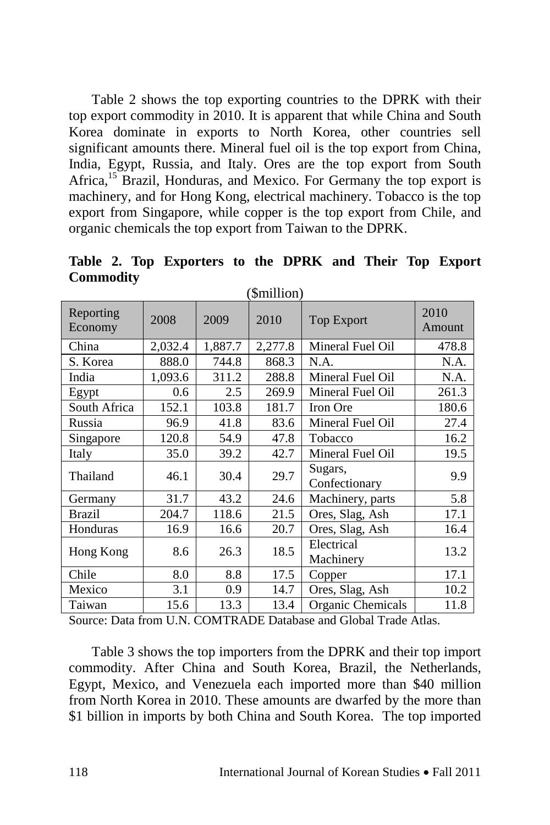Table 2 shows the top exporting countries to the DPRK with their top export commodity in 2010. It is apparent that while China and South Korea dominate in exports to North Korea, other countries sell significant amounts there. Mineral fuel oil is the top export from China, India, Egypt, Russia, and Italy. Ores are the top export from South Africa,<sup>15</sup> Brazil, Honduras, and Mexico. For Germany the top export is machinery, and for Hong Kong, electrical machinery. Tobacco is the top export from Singapore, while copper is the top export from Chile, and organic chemicals the top export from Taiwan to the DPRK.

| ( JULILLIOIL )       |         |         |         |                          |                |  |
|----------------------|---------|---------|---------|--------------------------|----------------|--|
| Reporting<br>Economy | 2008    | 2009    | 2010    | <b>Top Export</b>        | 2010<br>Amount |  |
| China                | 2,032.4 | 1,887.7 | 2,277.8 | Mineral Fuel Oil         | 478.8          |  |
| S. Korea             | 888.0   | 744.8   | 868.3   | N.A.                     | N.A.           |  |
| India                | 1,093.6 | 311.2   | 288.8   | Mineral Fuel Oil         | N.A.           |  |
| Egypt                | 0.6     | 2.5     | 269.9   | Mineral Fuel Oil         | 261.3          |  |
| South Africa         | 152.1   | 103.8   | 181.7   | <b>Iron Ore</b>          | 180.6          |  |
| Russia               | 96.9    | 41.8    | 83.6    | Mineral Fuel Oil         | 27.4           |  |
| Singapore            | 120.8   | 54.9    | 47.8    | Tobacco                  | 16.2           |  |
| Italy                | 35.0    | 39.2    | 42.7    | Mineral Fuel Oil         | 19.5           |  |
| Thailand             | 46.1    | 30.4    | 29.7    | Sugars,<br>Confectionary | 9.9            |  |
| Germany              | 31.7    | 43.2    | 24.6    | Machinery, parts         | 5.8            |  |
| Brazil               | 204.7   | 118.6   | 21.5    | Ores, Slag, Ash          | 17.1           |  |
| Honduras             | 16.9    | 16.6    | 20.7    | Ores, Slag, Ash          | 16.4           |  |
| Hong Kong            | 8.6     | 26.3    | 18.5    | Electrical<br>Machinery  | 13.2           |  |
| Chile                | 8.0     | 8.8     | 17.5    | Copper                   | 17.1           |  |
| Mexico               | 3.1     | 0.9     | 14.7    | Ores, Slag, Ash          | 10.2           |  |
| Taiwan               | 15.6    | 13.3    | 13.4    | Organic Chemicals        | 11.8           |  |

**Table 2. Top Exporters to the DPRK and Their Top Export Commodity**  $(\Phi_{\text{min}})$ 

Source: Data from U.N. COMTRADE Database and Global Trade Atlas.

Table 3 shows the top importers from the DPRK and their top import commodity. After China and South Korea, Brazil, the Netherlands, Egypt, Mexico, and Venezuela each imported more than \$40 million from North Korea in 2010. These amounts are dwarfed by the more than \$1 billion in imports by both China and South Korea. The top imported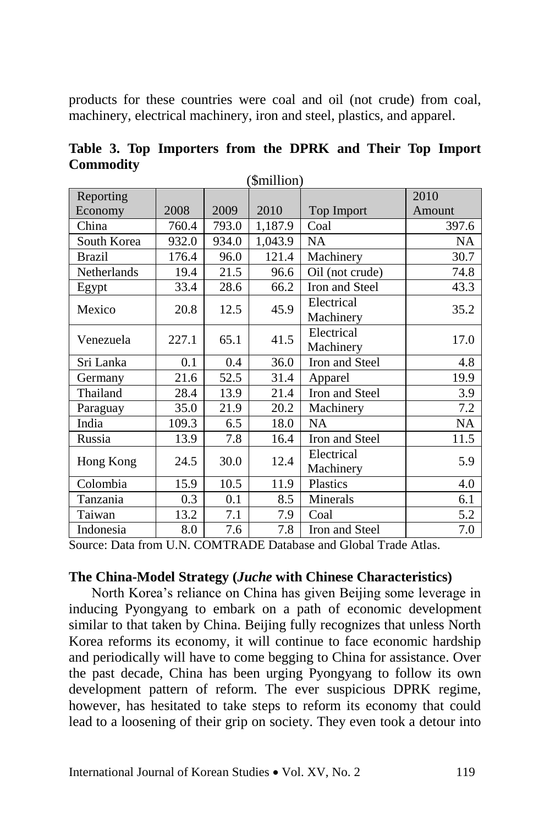products for these countries were coal and oil (not crude) from coal, machinery, electrical machinery, iron and steel, plastics, and apparel.

| (\$million)   |       |       |         |                 |           |  |  |
|---------------|-------|-------|---------|-----------------|-----------|--|--|
| Reporting     |       |       |         |                 | 2010      |  |  |
| Economy       | 2008  | 2009  | 2010    | Top Import      | Amount    |  |  |
| China         | 760.4 | 793.0 | 1,187.9 | Coal            | 397.6     |  |  |
| South Korea   | 932.0 | 934.0 | 1,043.9 | <b>NA</b>       | <b>NA</b> |  |  |
| <b>Brazil</b> | 176.4 | 96.0  | 121.4   | Machinery       | 30.7      |  |  |
| Netherlands   | 19.4  | 21.5  | 96.6    | Oil (not crude) | 74.8      |  |  |
| Egypt         | 33.4  | 28.6  | 66.2    | Iron and Steel  | 43.3      |  |  |
| Mexico        | 20.8  | 12.5  | 45.9    | Electrical      |           |  |  |
|               |       |       |         | Machinery       | 35.2      |  |  |
| Venezuela     | 227.1 | 65.1  | 41.5    | Electrical      | 17.0      |  |  |
|               |       |       |         | Machinery       |           |  |  |
| Sri Lanka     | 0.1   | 0.4   | 36.0    | Iron and Steel  | 4.8       |  |  |
| Germany       | 21.6  | 52.5  | 31.4    | Apparel         | 19.9      |  |  |
| Thailand      | 28.4  | 13.9  | 21.4    | Iron and Steel  | 3.9       |  |  |
| Paraguay      | 35.0  | 21.9  | 20.2    | Machinery       | 7.2       |  |  |
| India         | 109.3 | 6.5   | 18.0    | <b>NA</b>       | <b>NA</b> |  |  |
| Russia        | 13.9  | 7.8   | 16.4    | Iron and Steel  | 11.5      |  |  |
| Hong Kong     | 24.5  | 30.0  | 12.4    | Electrical      | 5.9       |  |  |
|               |       |       |         | Machinery       |           |  |  |
| Colombia      | 15.9  | 10.5  | 11.9    | Plastics        | 4.0       |  |  |
| Tanzania      | 0.3   | 0.1   | 8.5     | Minerals        | 6.1       |  |  |
| Taiwan        | 13.2  | 7.1   | 7.9     | Coal            | 5.2       |  |  |
| Indonesia     | 8.0   | 7.6   | 7.8     | Iron and Steel  | 7.0       |  |  |

**Table 3. Top Importers from the DPRK and Their Top Import Commodity**

Source: Data from U.N. COMTRADE Database and Global Trade Atlas.

#### **The China-Model Strategy (***Juche* **with Chinese Characteristics)**

North Korea's reliance on China has given Beijing some leverage in inducing Pyongyang to embark on a path of economic development similar to that taken by China. Beijing fully recognizes that unless North Korea reforms its economy, it will continue to face economic hardship and periodically will have to come begging to China for assistance. Over the past decade, China has been urging Pyongyang to follow its own development pattern of reform. The ever suspicious DPRK regime, however, has hesitated to take steps to reform its economy that could lead to a loosening of their grip on society. They even took a detour into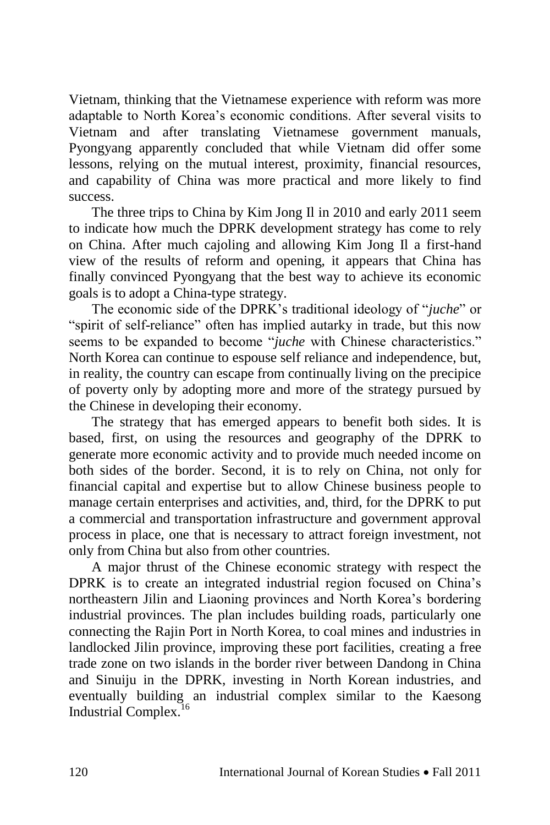Vietnam, thinking that the Vietnamese experience with reform was more adaptable to North Korea's economic conditions. After several visits to Vietnam and after translating Vietnamese government manuals, Pyongyang apparently concluded that while Vietnam did offer some lessons, relying on the mutual interest, proximity, financial resources, and capability of China was more practical and more likely to find success.

The three trips to China by Kim Jong Il in 2010 and early 2011 seem to indicate how much the DPRK development strategy has come to rely on China. After much cajoling and allowing Kim Jong Il a first-hand view of the results of reform and opening, it appears that China has finally convinced Pyongyang that the best way to achieve its economic goals is to adopt a China-type strategy.

The economic side of the DPRK's traditional ideology of "*juche*" or "spirit of self-reliance" often has implied autarky in trade, but this now seems to be expanded to become "*juche* with Chinese characteristics." North Korea can continue to espouse self reliance and independence, but, in reality, the country can escape from continually living on the precipice of poverty only by adopting more and more of the strategy pursued by the Chinese in developing their economy.

The strategy that has emerged appears to benefit both sides. It is based, first, on using the resources and geography of the DPRK to generate more economic activity and to provide much needed income on both sides of the border. Second, it is to rely on China, not only for financial capital and expertise but to allow Chinese business people to manage certain enterprises and activities, and, third, for the DPRK to put a commercial and transportation infrastructure and government approval process in place, one that is necessary to attract foreign investment, not only from China but also from other countries.

A major thrust of the Chinese economic strategy with respect the DPRK is to create an integrated industrial region focused on China's northeastern Jilin and Liaoning provinces and North Korea's bordering industrial provinces. The plan includes building roads, particularly one connecting the Rajin Port in North Korea, to coal mines and industries in landlocked Jilin province, improving these port facilities, creating a free trade zone on two islands in the border river between Dandong in China and Sinuiju in the DPRK, investing in North Korean industries, and eventually building an industrial complex similar to the Kaesong Industrial Complex.<sup>16</sup>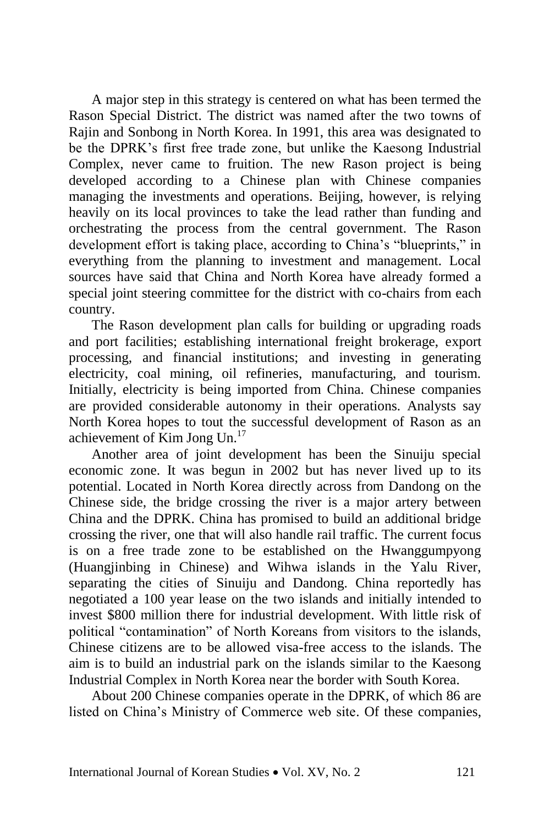A major step in this strategy is centered on what has been termed the Rason Special District. The district was named after the two towns of Rajin and Sonbong in North Korea. In 1991, this area was designated to be the DPRK's first free trade zone, but unlike the Kaesong Industrial Complex, never came to fruition. The new Rason project is being developed according to a Chinese plan with Chinese companies managing the investments and operations. Beijing, however, is relying heavily on its local provinces to take the lead rather than funding and orchestrating the process from the central government. The Rason development effort is taking place, according to China's "blueprints," in everything from the planning to investment and management. Local sources have said that China and North Korea have already formed a special joint steering committee for the district with co-chairs from each country.

The Rason development plan calls for building or upgrading roads and port facilities; establishing international freight brokerage, export processing, and financial institutions; and investing in generating electricity, coal mining, oil refineries, manufacturing, and tourism. Initially, electricity is being imported from China. Chinese companies are provided considerable autonomy in their operations. Analysts say North Korea hopes to tout the successful development of Rason as an achievement of Kim Jong Un.<sup>17</sup>

Another area of joint development has been the Sinuiju special economic zone. It was begun in 2002 but has never lived up to its potential. Located in North Korea directly across from Dandong on the Chinese side, the bridge crossing the river is a major artery between China and the DPRK. China has promised to build an additional bridge crossing the river, one that will also handle rail traffic. The current focus is on a free trade zone to be established on the Hwanggumpyong (Huangjinbing in Chinese) and Wihwa islands in the Yalu River, separating the cities of Sinuiju and Dandong. China reportedly has negotiated a 100 year lease on the two islands and initially intended to invest \$800 million there for industrial development. With little risk of political "contamination" of North Koreans from visitors to the islands, Chinese citizens are to be allowed visa-free access to the islands. The aim is to build an industrial park on the islands similar to the Kaesong Industrial Complex in North Korea near the border with South Korea.

About 200 Chinese companies operate in the DPRK, of which 86 are listed on China's Ministry of Commerce web site. Of these companies,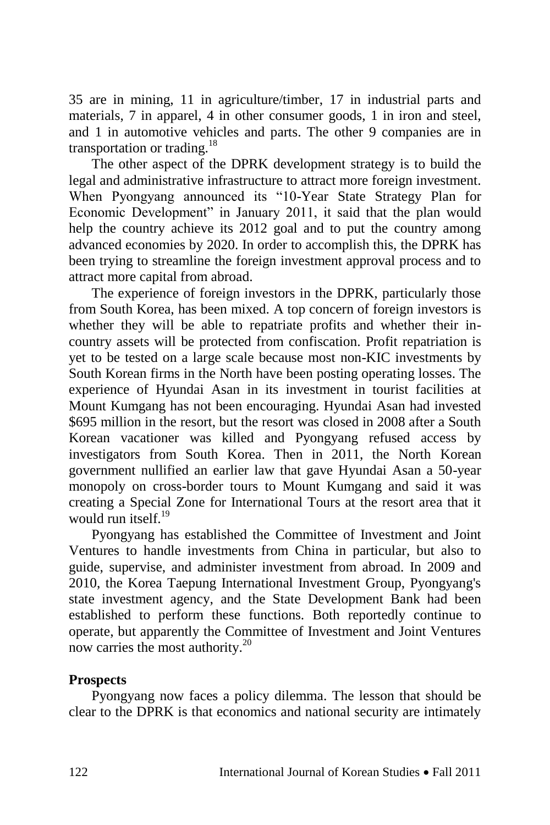35 are in mining, 11 in agriculture/timber, 17 in industrial parts and materials, 7 in apparel, 4 in other consumer goods, 1 in iron and steel, and 1 in automotive vehicles and parts. The other 9 companies are in transportation or trading.<sup>18</sup>

The other aspect of the DPRK development strategy is to build the legal and administrative infrastructure to attract more foreign investment. When Pyongyang announced its "10-Year State Strategy Plan for Economic Development" in January 2011, it said that the plan would help the country achieve its 2012 goal and to put the country among advanced economies by 2020. In order to accomplish this, the DPRK has been trying to streamline the foreign investment approval process and to attract more capital from abroad.

The experience of foreign investors in the DPRK, particularly those from South Korea, has been mixed. A top concern of foreign investors is whether they will be able to repatriate profits and whether their incountry assets will be protected from confiscation. Profit repatriation is yet to be tested on a large scale because most non-KIC investments by South Korean firms in the North have been posting operating losses. The experience of Hyundai Asan in its investment in tourist facilities at Mount Kumgang has not been encouraging. Hyundai Asan had invested \$695 million in the resort, but the resort was closed in 2008 after a South Korean vacationer was killed and Pyongyang refused access by investigators from South Korea. Then in 2011, the North Korean government nullified an earlier law that gave Hyundai Asan a 50-year monopoly on cross-border tours to Mount Kumgang and said it was creating a Special Zone for International Tours at the resort area that it would run itself. $19$ 

Pyongyang has established the Committee of Investment and Joint Ventures to handle investments from China in particular, but also to guide, supervise, and administer investment from abroad. In 2009 and 2010, the Korea Taepung International Investment Group, Pyongyang's state investment agency, and the State Development Bank had been established to perform these functions. Both reportedly continue to operate, but apparently the Committee of Investment and Joint Ventures now carries the most authority.<sup>20</sup>

## **Prospects**

Pyongyang now faces a policy dilemma. The lesson that should be clear to the DPRK is that economics and national security are intimately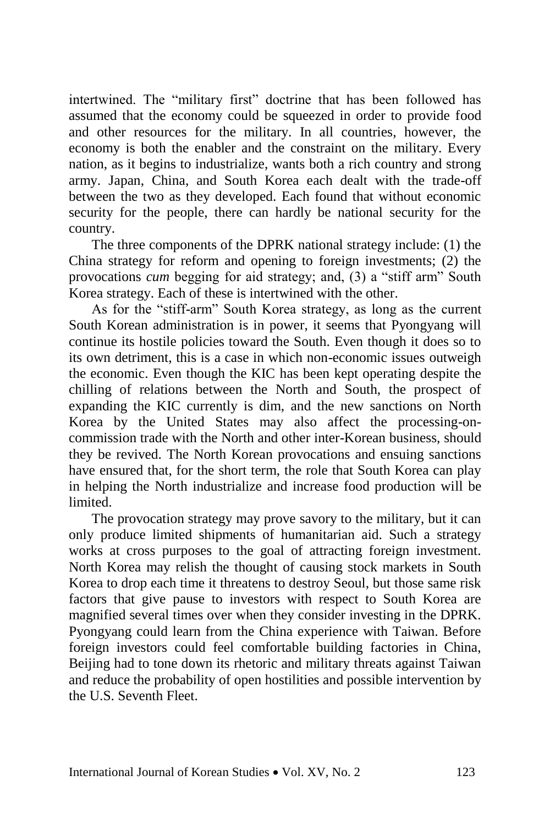intertwined. The "military first" doctrine that has been followed has assumed that the economy could be squeezed in order to provide food and other resources for the military. In all countries, however, the economy is both the enabler and the constraint on the military. Every nation, as it begins to industrialize, wants both a rich country and strong army. Japan, China, and South Korea each dealt with the trade-off between the two as they developed. Each found that without economic security for the people, there can hardly be national security for the country.

The three components of the DPRK national strategy include: (1) the China strategy for reform and opening to foreign investments; (2) the provocations *cum* begging for aid strategy; and, (3) a "stiff arm" South Korea strategy. Each of these is intertwined with the other.

As for the "stiff-arm" South Korea strategy, as long as the current South Korean administration is in power, it seems that Pyongyang will continue its hostile policies toward the South. Even though it does so to its own detriment, this is a case in which non-economic issues outweigh the economic. Even though the KIC has been kept operating despite the chilling of relations between the North and South, the prospect of expanding the KIC currently is dim, and the new sanctions on North Korea by the United States may also affect the processing-oncommission trade with the North and other inter-Korean business, should they be revived. The North Korean provocations and ensuing sanctions have ensured that, for the short term, the role that South Korea can play in helping the North industrialize and increase food production will be limited.

The provocation strategy may prove savory to the military, but it can only produce limited shipments of humanitarian aid. Such a strategy works at cross purposes to the goal of attracting foreign investment. North Korea may relish the thought of causing stock markets in South Korea to drop each time it threatens to destroy Seoul, but those same risk factors that give pause to investors with respect to South Korea are magnified several times over when they consider investing in the DPRK. Pyongyang could learn from the China experience with Taiwan. Before foreign investors could feel comfortable building factories in China, Beijing had to tone down its rhetoric and military threats against Taiwan and reduce the probability of open hostilities and possible intervention by the U.S. Seventh Fleet.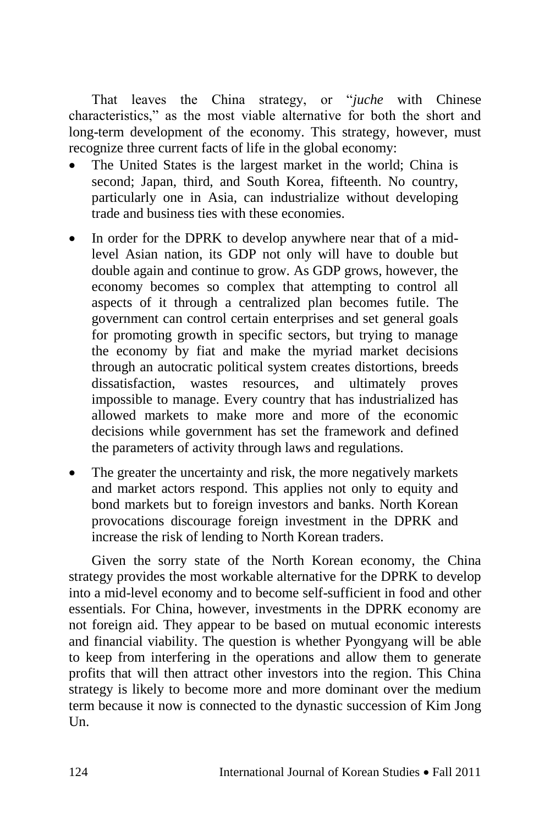That leaves the China strategy, or "*juche* with Chinese characteristics," as the most viable alternative for both the short and long-term development of the economy. This strategy, however, must recognize three current facts of life in the global economy:

- The United States is the largest market in the world; China is second; Japan, third, and South Korea, fifteenth. No country, particularly one in Asia, can industrialize without developing trade and business ties with these economies.
- In order for the DPRK to develop anywhere near that of a midlevel Asian nation, its GDP not only will have to double but double again and continue to grow. As GDP grows, however, the economy becomes so complex that attempting to control all aspects of it through a centralized plan becomes futile. The government can control certain enterprises and set general goals for promoting growth in specific sectors, but trying to manage the economy by fiat and make the myriad market decisions through an autocratic political system creates distortions, breeds dissatisfaction, wastes resources, and ultimately proves impossible to manage. Every country that has industrialized has allowed markets to make more and more of the economic decisions while government has set the framework and defined the parameters of activity through laws and regulations.
- The greater the uncertainty and risk, the more negatively markets and market actors respond. This applies not only to equity and bond markets but to foreign investors and banks. North Korean provocations discourage foreign investment in the DPRK and increase the risk of lending to North Korean traders.

Given the sorry state of the North Korean economy, the China strategy provides the most workable alternative for the DPRK to develop into a mid-level economy and to become self-sufficient in food and other essentials. For China, however, investments in the DPRK economy are not foreign aid. They appear to be based on mutual economic interests and financial viability. The question is whether Pyongyang will be able to keep from interfering in the operations and allow them to generate profits that will then attract other investors into the region. This China strategy is likely to become more and more dominant over the medium term because it now is connected to the dynastic succession of Kim Jong  $Un.$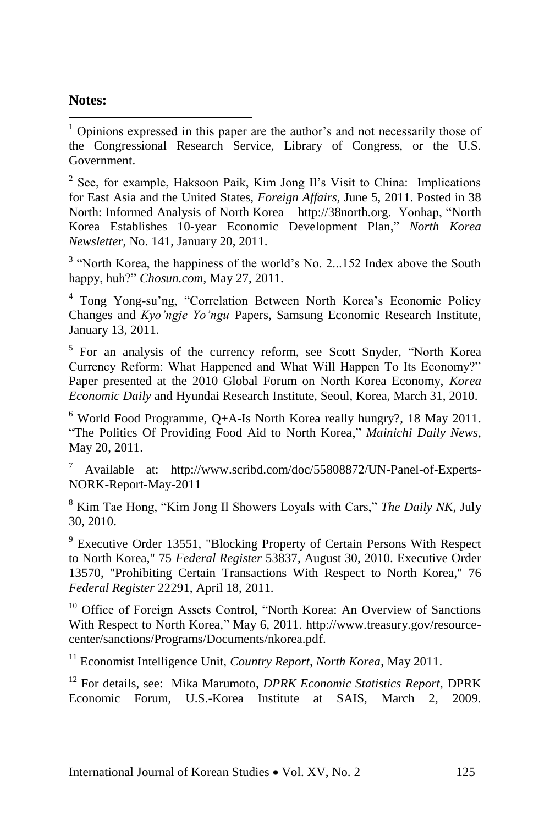### **Notes:**

l

 $1$  Opinions expressed in this paper are the author's and not necessarily those of the Congressional Research Service, Library of Congress, or the U.S. Government.

<sup>2</sup> See, for example, Haksoon Paik, Kim Jong Il's Visit to China: Implications for East Asia and the United States, *Foreign Affairs*, June 5, 2011. Posted in 38 North: Informed Analysis of North Korea – http://38north.org. Yonhap, "North Korea Establishes 10-year Economic Development Plan," *North Korea Newsletter*, No. 141, January 20, 2011.

<sup>3</sup> "North Korea, the happiness of the world's No. 2...152 Index above the South happy, huh?" *Chosun.com*, May 27, 2011.

<sup>4</sup> Tong Yong-su'ng, "Correlation Between North Korea's Economic Policy Changes and *Kyo'ngje Yo'ngu* Papers, Samsung Economic Research Institute, January 13, 2011.

<sup>5</sup> For an analysis of the currency reform, see Scott Snyder, "North Korea Currency Reform: What Happened and What Will Happen To Its Economy?" Paper presented at the 2010 Global Forum on North Korea Economy, *Korea Economic Daily* and Hyundai Research Institute, Seoul, Korea, March 31, 2010.

 $6$  World Food Programme, Q+A-Is North Korea really hungry?, 18 May 2011. "The Politics Of Providing Food Aid to North Korea," *Mainichi Daily News*, May 20, 2011.

<sup>7</sup> Available at: http://www.scribd.com/doc/55808872/UN-Panel-of-Experts-NORK-Report-May-2011

<sup>8</sup> Kim Tae Hong, "Kim Jong Il Showers Loyals with Cars," *The Daily NK*, July 30, 2010.

<sup>9</sup> Executive Order 13551, "Blocking Property of Certain Persons With Respect to North Korea," 75 *Federal Register* 53837, August 30, 2010. Executive Order 13570, "Prohibiting Certain Transactions With Respect to North Korea," 76 *Federal Register* 22291, April 18, 2011.

<sup>10</sup> Office of Foreign Assets Control, "North Korea: An Overview of Sanctions With Respect to North Korea," May 6, 2011. http://www.treasury.gov/resourcecenter/sanctions/Programs/Documents/nkorea.pdf.

<sup>11</sup> Economist Intelligence Unit, *Country Report, North Korea*, May 2011.

<sup>12</sup> For details, see: Mika Marumoto, *DPRK Economic Statistics Report*, DPRK Economic Forum, U.S.-Korea Institute at SAIS, March 2, 2009.